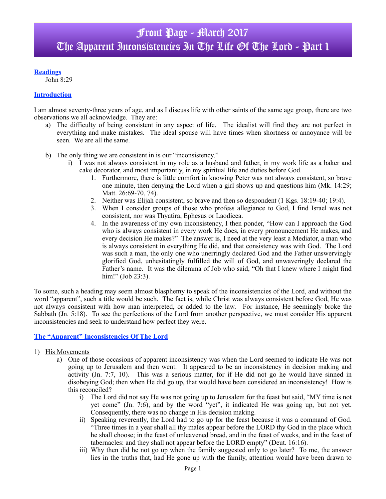## **Readings**

John 8:29

### **Introduction**

I am almost seventy-three years of age, and as I discuss life with other saints of the same age group, there are two observations we all acknowledge. They are:

- a) The difficulty of being consistent in any aspect of life. The idealist will find they are not perfect in everything and make mistakes. The ideal spouse will have times when shortness or annoyance will be seen. We are all the same.
- b) The only thing we are consistent in is our "inconsistency."
	- i) I was not always consistent in my role as a husband and father, in my work life as a baker and cake decorator, and most importantly, in my spiritual life and duties before God.
		- 1. Furthermore, there is little comfort in knowing Peter was not always consistent, so brave one minute, then denying the Lord when a girl shows up and questions him (Mk. 14:29; Matt. 26:69-70, 74).
		- 2. Neither was Elijah consistent, so brave and then so despondent (1 Kgs. 18:19-40; 19:4).
		- 3. When I consider groups of those who profess allegiance to God, I find Israel was not consistent, nor was Thyatira, Ephesus or Laodicea.
		- 4. In the awareness of my own inconsistency, I then ponder, "How can I approach the God who is always consistent in every work He does, in every pronouncement He makes, and every decision He makes?" The answer is, I need at the very least a Mediator, a man who is always consistent in everything He did, and that consistency was with God. The Lord was such a man, the only one who unerringly declared God and the Father unswervingly glorified God, unhesitatingly fulfilled the will of God, and unwaveringly declared the Father's name. It was the dilemma of Job who said, "Oh that I knew where I might find him!" (Job 23:3).

To some, such a heading may seem almost blasphemy to speak of the inconsistencies of the Lord, and without the word "apparent", such a title would be such. The fact is, while Christ was always consistent before God, He was not always consistent with how man interpreted, or added to the law. For instance, He seemingly broke the Sabbath (Jn. 5:18). To see the perfections of the Lord from another perspective, we must consider His apparent inconsistencies and seek to understand how perfect they were.

#### **The "Apparent" Inconsistencies Of The Lord**

- 1) His Movements
	- a) One of those occasions of apparent inconsistency was when the Lord seemed to indicate He was not going up to Jerusalem and then went. It appeared to be an inconsistency in decision making and activity (Jn. 7:7, 10). This was a serious matter, for if He did not go he would have sinned in disobeying God; then when He did go up, that would have been considered an inconsistency! How is this reconciled?
		- i) The Lord did not say He was not going up to Jerusalem for the feast but said, "MY time is not yet come" (Jn. 7:6), and by the word "yet", it indicated He was going up, but not yet. Consequently, there was no change in His decision making.
		- ii) Speaking reverently, the Lord had to go up for the feast because it was a command of God. "Three times in a year shall all thy males appear before the LORD thy God in the place which he shall choose; in the feast of unleavened bread, and in the feast of weeks, and in the feast of tabernacles: and they shall not appear before the LORD empty" (Deut. 16:16).
		- iii) Why then did he not go up when the family suggested only to go later? To me, the answer lies in the truths that, had He gone up with the family, attention would have been drawn to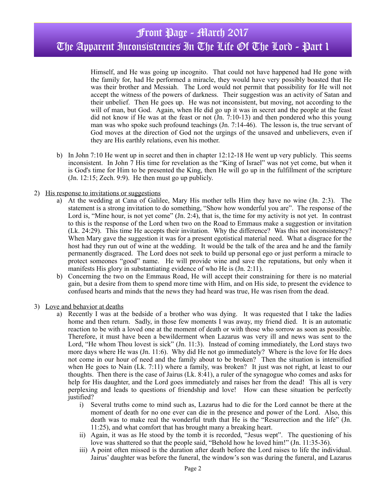Himself, and He was going up incognito. That could not have happened had He gone with the family for, had He performed a miracle, they would have very possibly boasted that He was their brother and Messiah. The Lord would not permit that possibility for He will not accept the witness of the powers of darkness. Their suggestion was an activity of Satan and their unbelief. Then He goes up. He was not inconsistent, but moving, not according to the will of man, but God. Again, when He did go up it was in secret and the people at the feast did not know if He was at the feast or not  $(In. 7:10-13)$  and then pondered who this young man was who spoke such profound teachings (Jn. 7:14-46). The lesson is, the true servant of God moves at the direction of God not the urgings of the unsaved and unbelievers, even if they are His earthly relations, even his mother.

b) In John 7:10 He went up in secret and then in chapter 12:12-18 He went up very publicly. This seems inconsistent. In John 7 His time for revelation as the "King of Israel" was not yet come, but when it is God's time for Him to be presented the King, then He will go up in the fulfillment of the scripture (Jn. 12:15; Zech. 9:9). He then must go up publicly.

#### 2) His response to invitations or suggestions

- a) At the wedding at Cana of Galilee, Mary His mother tells Him they have no wine (Jn. 2:3). The statement is a strong invitation to do something, "Show how wonderful you are". The response of the Lord is, "Mine hour, is not yet come" (Jn. 2:4), that is, the time for my activity is not yet. In contrast to this is the response of the Lord when two on the Road to Emmaus make a suggestion or invitation (Lk. 24:29). This time He accepts their invitation. Why the difference? Was this not inconsistency? When Mary gave the suggestion it was for a present egotistical material need. What a disgrace for the host had they run out of wine at the wedding. It would be the talk of the area and he and the family permanently disgraced. The Lord does not seek to build up personal ego or just perform a miracle to protect someones "good" name. He will provide wine and save the reputations, but only when it manifests His glory in substantiating evidence of who He is (Jn. 2:11).
- b) Concerning the two on the Emmaus Road, He will accept their constraining for there is no material gain, but a desire from them to spend more time with Him, and on His side, to present the evidence to confused hearts and minds that the news they had heard was true, He was risen from the dead.
- 3) Love and behavior at deaths
	- a) Recently I was at the bedside of a brother who was dying. It was requested that I take the ladies home and then return. Sadly, in those few moments I was away, my friend died. It is an automatic reaction to be with a loved one at the moment of death or with those who sorrow as soon as possible. Therefore, it must have been a bewilderment when Lazarus was very ill and news was sent to the Lord, "He whom Thou lovest is sick" (Jn. 11:3). Instead of coming immediately, the Lord stays two more days where He was (Jn. 11:6). Why did He not go immediately? Where is the love for He does not come in our hour of need and the family about to be broken? Then the situation is intensified when He goes to Nain (Lk. 7:11) where a family, was broken? It just was not right, at least to our thoughts. Then there is the case of Jairus (Lk. 8:41), a ruler of the synagogue who comes and asks for help for His daughter, and the Lord goes immediately and raises her from the dead! This all is very perplexing and leads to questions of friendship and love! How can these situation be perfectly justified?
		- i) Several truths come to mind such as, Lazarus had to die for the Lord cannot be there at the moment of death for no one ever can die in the presence and power of the Lord. Also, this death was to make real the wonderful truth that He is the "Resurrection and the life" (Jn. 11:25), and what comfort that has brought many a breaking heart.
		- ii) Again, it was as He stood by the tomb it is recorded, "Jesus wept". The questioning of his love was shattered so that the people said, "Behold how he loved him!" (Jn. 11:35-36).
		- iii) A point often missed is the duration after death before the Lord raises to life the individual. Jairus' daughter was before the funeral, the window's son was during the funeral, and Lazarus